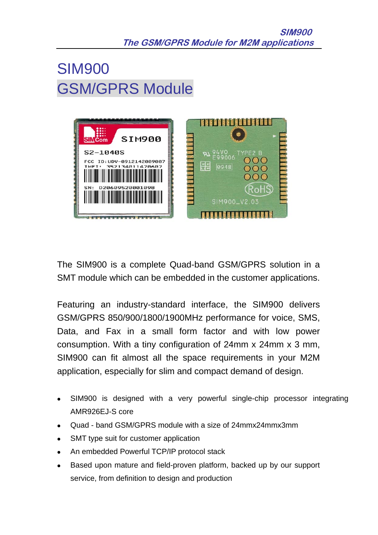



The SIM900 is a complete Quad-band GSM/GPRS solution in a SMT module which can be embedded in the customer applications.

Featuring an industry-standard interface, the SIM900 delivers GSM/GPRS 850/900/1800/1900MHz performance for voice, SMS, Data, and Fax in a small form factor and with low power consumption. With a tiny configuration of 24mm x 24mm x 3 mm, SIM900 can fit almost all the space requirements in your M2M application, especially for slim and compact demand of design.

- SIM900 is designed with a very powerful single-chip processor integrating AMR926EJ-S core
- Quad band GSM/GPRS module with a size of 24mmx24mmx3mm
- SMT type suit for customer application
- An embedded Powerful TCP/IP protocol stack
- Based upon mature and field-proven platform, backed up by our support service, from definition to design and production